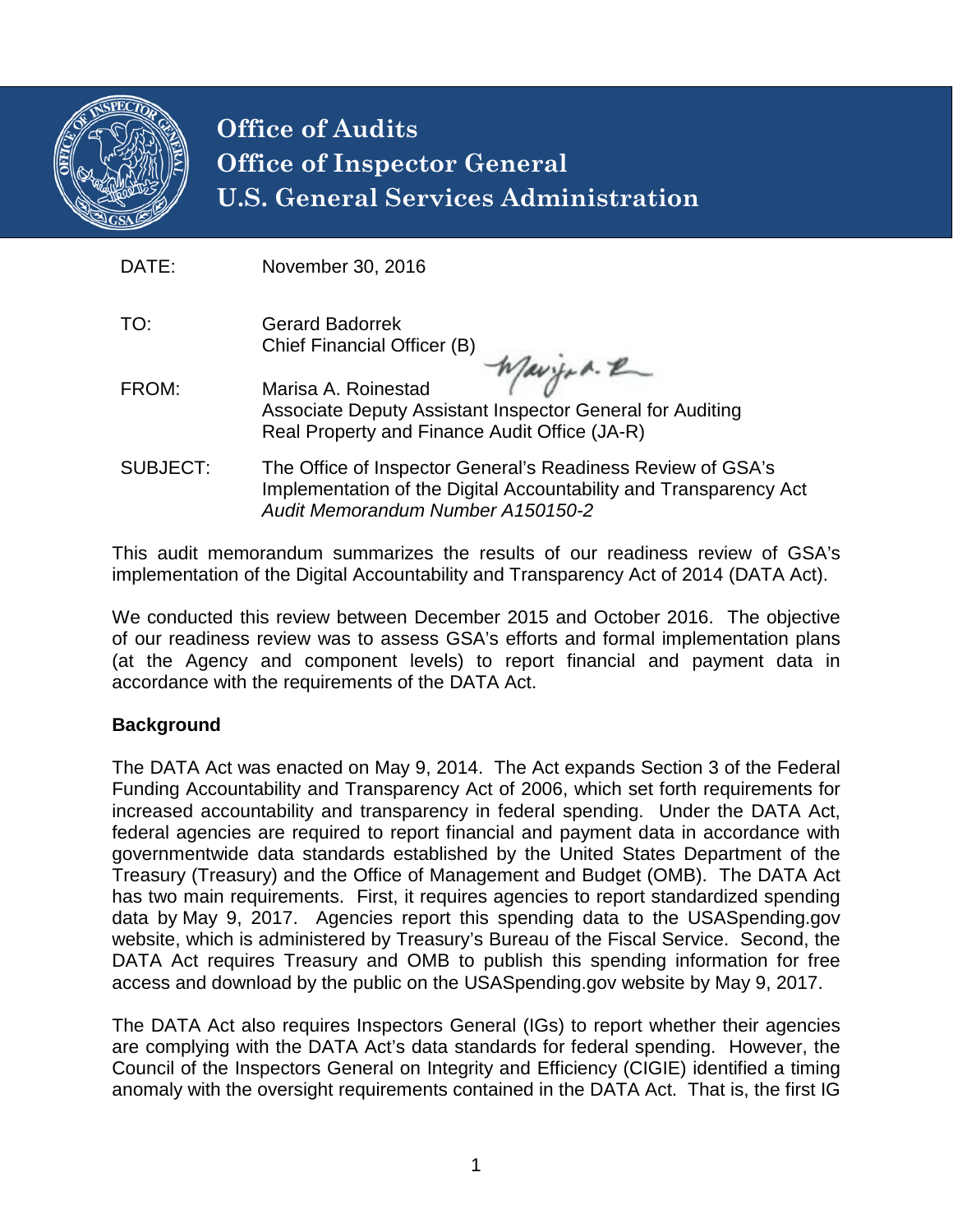

# **Office of Audits Office of Inspector General U.S. General Services Administration**

| DATE:           | November 30, 2016                                                                                                                                                            |
|-----------------|------------------------------------------------------------------------------------------------------------------------------------------------------------------------------|
| TO:             | <b>Gerard Badorrek</b><br>Chief Financial Officer (B)                                                                                                                        |
| FROM:           | Waryon. R<br>Marisa A. Roinestad<br>Associate Deputy Assistant Inspector General for Auditing<br>Real Property and Finance Audit Office (JA-R)                               |
| <b>SUBJECT:</b> | The Office of Inspector General's Readiness Review of GSA's<br>Implementation of the Digital Accountability and Transparency Act<br><b>Audit Memorandum Number A150150-2</b> |

This audit memorandum summarizes the results of our readiness review of GSA's implementation of the Digital Accountability and Transparency Act of 2014 (DATA Act).

We conducted this review between December 2015 and October 2016. The objective of our readiness review was to assess GSA's efforts and formal implementation plans (at the Agency and component levels) to report financial and payment data in accordance with the requirements of the DATA Act.

## **Background**

The DATA Act was enacted on May 9, 2014. The Act expands Section 3 of the Federal Funding Accountability and Transparency Act of 2006, which set forth requirements for increased accountability and transparency in federal spending. Under the DATA Act, federal agencies are required to report financial and payment data in accordance with governmentwide data standards established by the United States Department of the Treasury (Treasury) and the Office of Management and Budget (OMB). The DATA Act has two main requirements. First, it requires agencies to report standardized spending data by May 9, 2017. Agencies report this spending data to the USASpending.gov website, which is administered by Treasury's Bureau of the Fiscal Service. Second, the DATA Act requires Treasury and OMB to publish this spending information for free access and download by the public on the USASpending.gov website by May 9, 2017.

The DATA Act also requires Inspectors General (IGs) to report whether their agencies are complying with the DATA Act's data standards for federal spending. However, the Council of the Inspectors General on Integrity and Efficiency (CIGIE) identified a timing anomaly with the oversight requirements contained in the DATA Act. That is, the first IG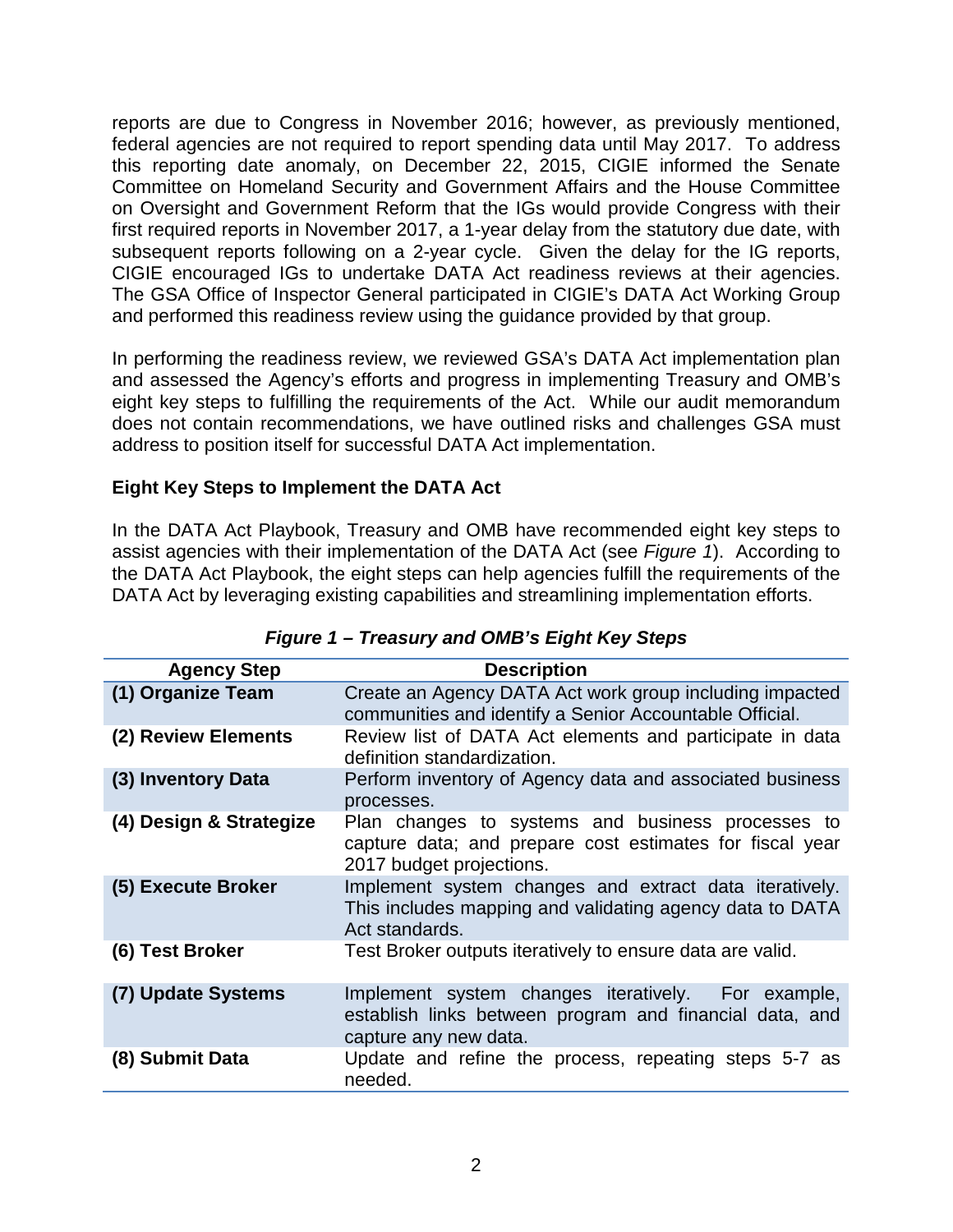reports are due to Congress in November 2016; however, as previously mentioned, federal agencies are not required to report spending data until May 2017. To address this reporting date anomaly, on December 22, 2015, CIGIE informed the Senate Committee on Homeland Security and Government Affairs and the House Committee on Oversight and Government Reform that the IGs would provide Congress with their first required reports in November 2017, a 1-year delay from the statutory due date, with subsequent reports following on a 2-year cycle. Given the delay for the IG reports, CIGIE encouraged IGs to undertake DATA Act readiness reviews at their agencies. The GSA Office of Inspector General participated in CIGIE's DATA Act Working Group and performed this readiness review using the guidance provided by that group.

In performing the readiness review, we reviewed GSA's DATA Act implementation plan and assessed the Agency's efforts and progress in implementing Treasury and OMB's eight key steps to fulfilling the requirements of the Act. While our audit memorandum does not contain recommendations, we have outlined risks and challenges GSA must address to position itself for successful DATA Act implementation.

## **Eight Key Steps to Implement the DATA Act**

In the DATA Act Playbook, Treasury and OMB have recommended eight key steps to assist agencies with their implementation of the DATA Act (see *Figure 1*). According to the DATA Act Playbook, the eight steps can help agencies fulfill the requirements of the DATA Act by leveraging existing capabilities and streamlining implementation efforts.

| <b>Agency Step</b>      | <b>Description</b>                                                                                                                        |
|-------------------------|-------------------------------------------------------------------------------------------------------------------------------------------|
| (1) Organize Team       | Create an Agency DATA Act work group including impacted<br>communities and identify a Senior Accountable Official.                        |
| (2) Review Elements     | Review list of DATA Act elements and participate in data<br>definition standardization.                                                   |
| (3) Inventory Data      | Perform inventory of Agency data and associated business<br>processes.                                                                    |
| (4) Design & Strategize | Plan changes to systems and business processes to<br>capture data; and prepare cost estimates for fiscal year<br>2017 budget projections. |
| (5) Execute Broker      | Implement system changes and extract data iteratively.<br>This includes mapping and validating agency data to DATA<br>Act standards.      |
| (6) Test Broker         | Test Broker outputs iteratively to ensure data are valid.                                                                                 |
| (7) Update Systems      | Implement system changes iteratively. For example,<br>establish links between program and financial data, and<br>capture any new data.    |
| (8) Submit Data         | Update and refine the process, repeating steps 5-7 as<br>needed.                                                                          |

| Figure 1 – Treasury and OMB's Eight Key Steps |
|-----------------------------------------------|
|-----------------------------------------------|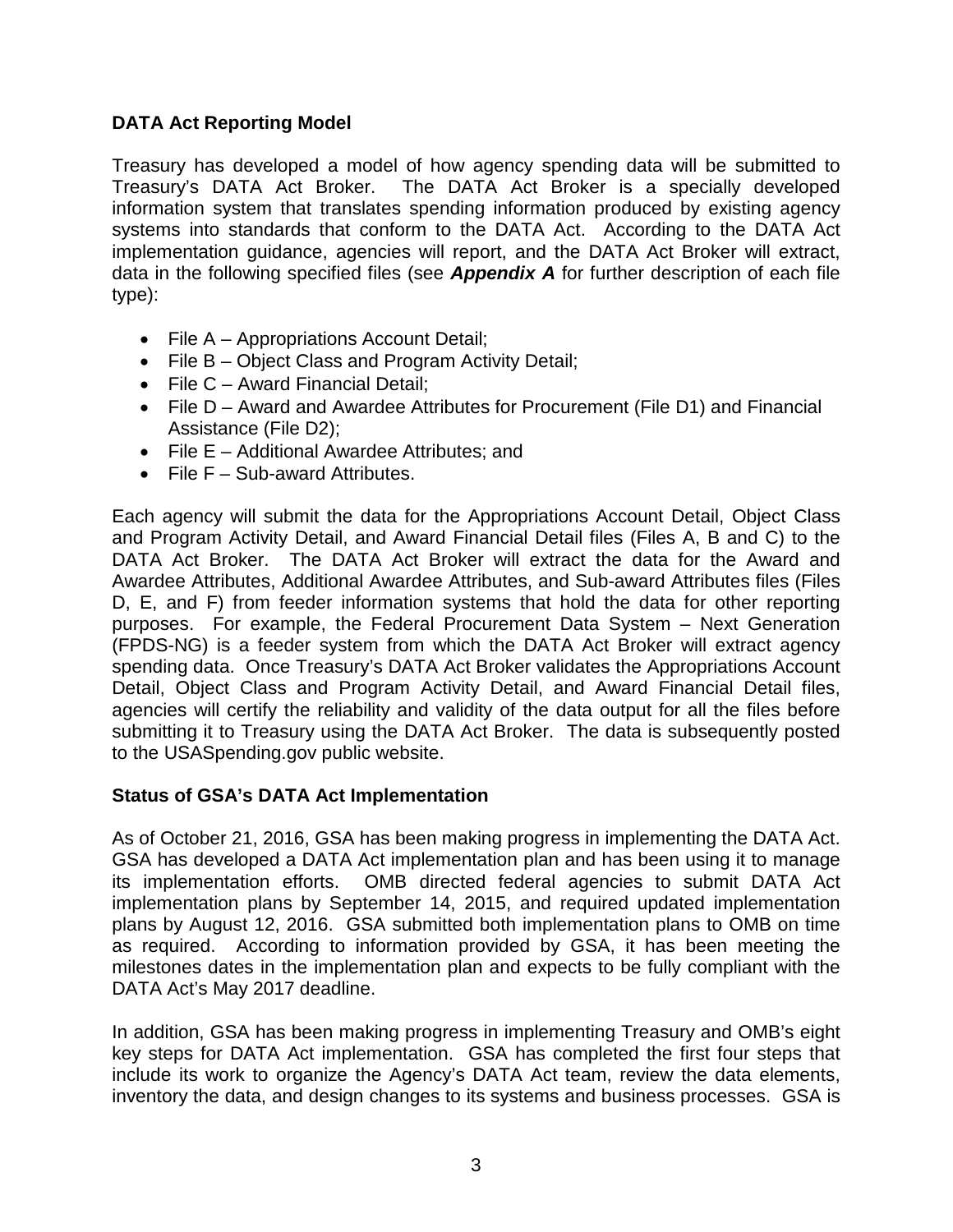## **DATA Act Reporting Model**

Treasury has developed a model of how agency spending data will be submitted to Treasury's DATA Act Broker. The DATA Act Broker is a specially developed information system that translates spending information produced by existing agency systems into standards that conform to the DATA Act. According to the DATA Act implementation guidance, agencies will report, and the DATA Act Broker will extract, data in the following specified files (see *Appendix A* for further description of each file type):

- File A Appropriations Account Detail;
- File B Object Class and Program Activity Detail;
- File C Award Financial Detail;
- File D Award and Awardee Attributes for Procurement (File D1) and Financial Assistance (File D2);
- File E Additional Awardee Attributes; and
- File F Sub-award Attributes.

Each agency will submit the data for the Appropriations Account Detail, Object Class and Program Activity Detail, and Award Financial Detail files (Files A, B and C) to the DATA Act Broker. The DATA Act Broker will extract the data for the Award and Awardee Attributes, Additional Awardee Attributes, and Sub-award Attributes files (Files D, E, and F) from feeder information systems that hold the data for other reporting purposes. For example, the Federal Procurement Data System – Next Generation (FPDS-NG) is a feeder system from which the DATA Act Broker will extract agency spending data. Once Treasury's DATA Act Broker validates the Appropriations Account Detail, Object Class and Program Activity Detail, and Award Financial Detail files, agencies will certify the reliability and validity of the data output for all the files before submitting it to Treasury using the DATA Act Broker. The data is subsequently posted to the USASpending.gov public website.

#### **Status of GSA's DATA Act Implementation**

As of October 21, 2016, GSA has been making progress in implementing the DATA Act. GSA has developed a DATA Act implementation plan and has been using it to manage its implementation efforts. OMB directed federal agencies to submit DATA Act implementation plans by September 14, 2015, and required updated implementation plans by August 12, 2016. GSA submitted both implementation plans to OMB on time as required. According to information provided by GSA, it has been meeting the milestones dates in the implementation plan and expects to be fully compliant with the DATA Act's May 2017 deadline.

In addition, GSA has been making progress in implementing Treasury and OMB's eight key steps for DATA Act implementation. GSA has completed the first four steps that include its work to organize the Agency's DATA Act team, review the data elements, inventory the data, and design changes to its systems and business processes. GSA is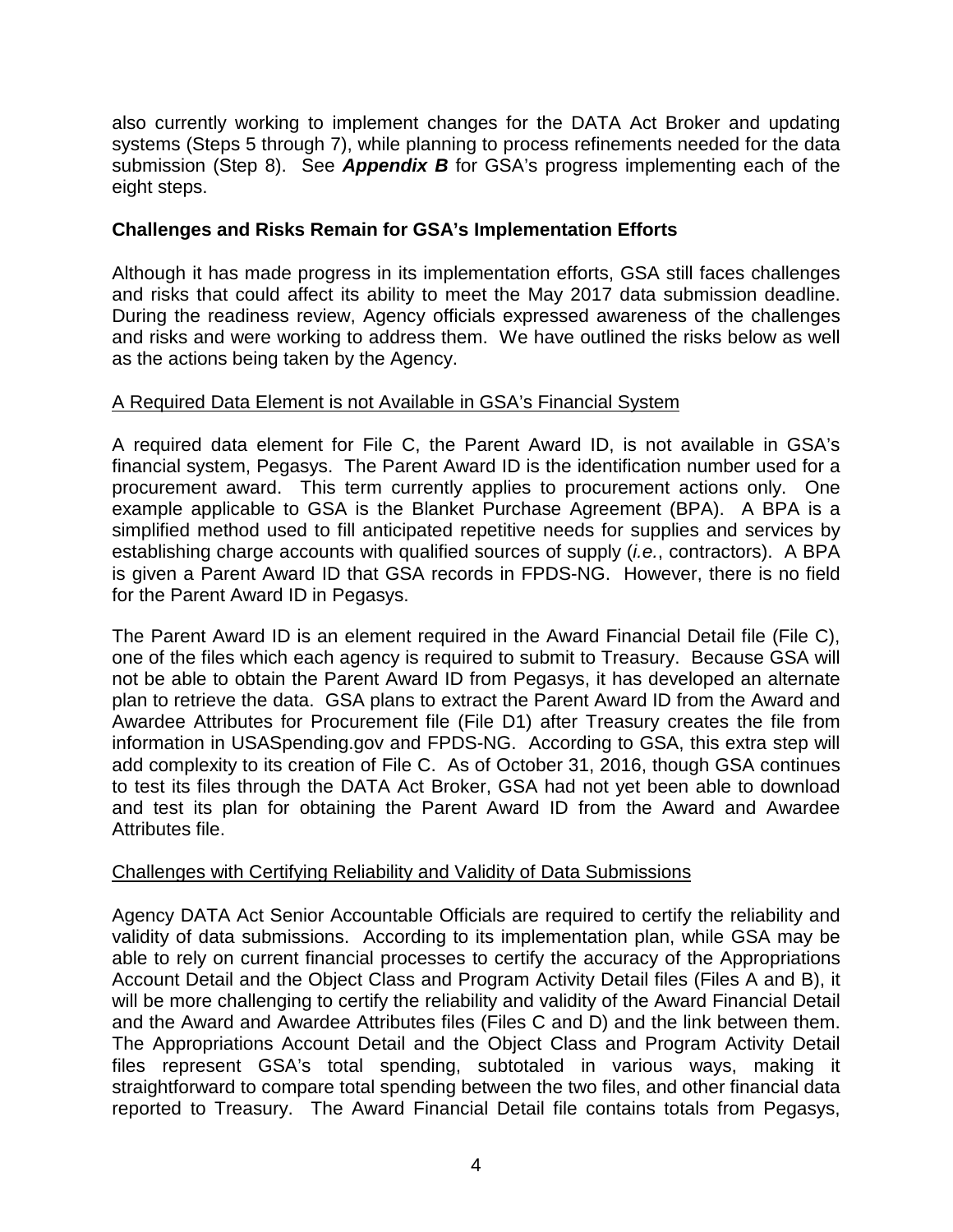also currently working to implement changes for the DATA Act Broker and updating systems (Steps 5 through 7), while planning to process refinements needed for the data submission (Step 8). See *Appendix B* for GSA's progress implementing each of the eight steps.

## **Challenges and Risks Remain for GSA's Implementation Efforts**

Although it has made progress in its implementation efforts, GSA still faces challenges and risks that could affect its ability to meet the May 2017 data submission deadline. During the readiness review, Agency officials expressed awareness of the challenges and risks and were working to address them. We have outlined the risks below as well as the actions being taken by the Agency.

### A Required Data Element is not Available in GSA's Financial System

A required data element for File C, the Parent Award ID, is not available in GSA's financial system, Pegasys. The Parent Award ID is the identification number used for a procurement award. This term currently applies to procurement actions only. One example applicable to GSA is the Blanket Purchase Agreement (BPA). A BPA is a simplified method used to fill anticipated repetitive needs for supplies and services by establishing charge accounts with qualified sources of supply (*i.e.*, contractors). A BPA is given a Parent Award ID that GSA records in FPDS-NG. However, there is no field for the Parent Award ID in Pegasys.

The Parent Award ID is an element required in the Award Financial Detail file (File C), one of the files which each agency is required to submit to Treasury. Because GSA will not be able to obtain the Parent Award ID from Pegasys, it has developed an alternate plan to retrieve the data. GSA plans to extract the Parent Award ID from the Award and Awardee Attributes for Procurement file (File D1) after Treasury creates the file from information in USASpending.gov and FPDS-NG. According to GSA, this extra step will add complexity to its creation of File C. As of October 31, 2016, though GSA continues to test its files through the DATA Act Broker, GSA had not yet been able to download and test its plan for obtaining the Parent Award ID from the Award and Awardee Attributes file.

#### Challenges with Certifying Reliability and Validity of Data Submissions

Agency DATA Act Senior Accountable Officials are required to certify the reliability and validity of data submissions. According to its implementation plan, while GSA may be able to rely on current financial processes to certify the accuracy of the Appropriations Account Detail and the Object Class and Program Activity Detail files (Files A and B), it will be more challenging to certify the reliability and validity of the Award Financial Detail and the Award and Awardee Attributes files (Files C and D) and the link between them. The Appropriations Account Detail and the Object Class and Program Activity Detail files represent GSA's total spending, subtotaled in various ways, making it straightforward to compare total spending between the two files, and other financial data reported to Treasury. The Award Financial Detail file contains totals from Pegasys,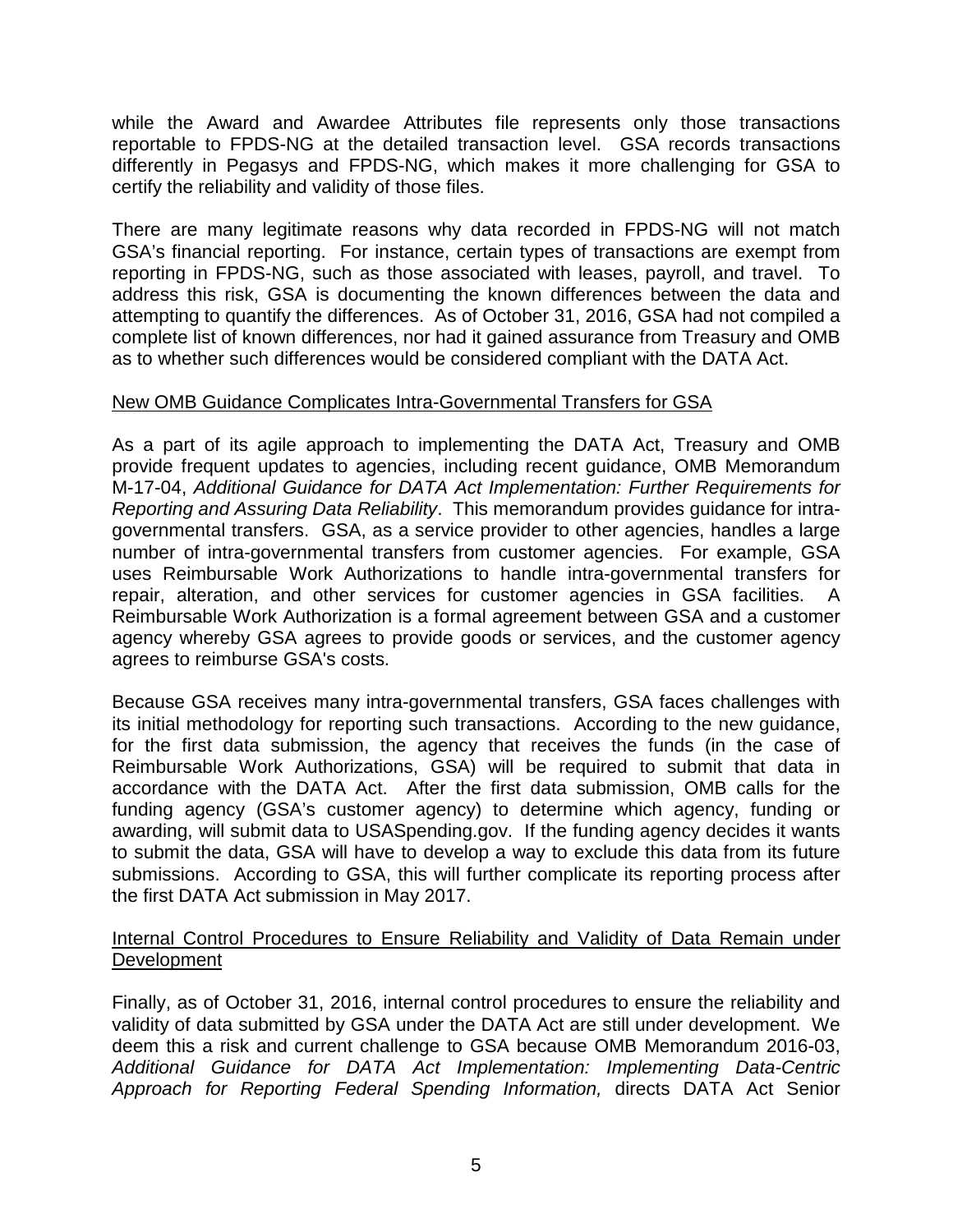while the Award and Awardee Attributes file represents only those transactions reportable to FPDS-NG at the detailed transaction level. GSA records transactions differently in Pegasys and FPDS-NG, which makes it more challenging for GSA to certify the reliability and validity of those files.

There are many legitimate reasons why data recorded in FPDS-NG will not match GSA's financial reporting. For instance, certain types of transactions are exempt from reporting in FPDS-NG, such as those associated with leases, payroll, and travel. To address this risk, GSA is documenting the known differences between the data and attempting to quantify the differences. As of October 31, 2016, GSA had not compiled a complete list of known differences, nor had it gained assurance from Treasury and OMB as to whether such differences would be considered compliant with the DATA Act.

#### New OMB Guidance Complicates Intra-Governmental Transfers for GSA

As a part of its agile approach to implementing the DATA Act, Treasury and OMB provide frequent updates to agencies, including recent guidance, OMB Memorandum M-17-04, *Additional Guidance for DATA Act Implementation: Further Requirements for Reporting and Assuring Data Reliability*. This memorandum provides guidance for intragovernmental transfers. GSA, as a service provider to other agencies, handles a large number of intra-governmental transfers from customer agencies. For example, GSA uses Reimbursable Work Authorizations to handle intra-governmental transfers for repair, alteration, and other services for customer agencies in GSA facilities. Reimbursable Work Authorization is a formal agreement between GSA and a customer agency whereby GSA agrees to provide goods or services, and the customer agency agrees to reimburse GSA's costs.

Because GSA receives many intra-governmental transfers, GSA faces challenges with its initial methodology for reporting such transactions. According to the new guidance, for the first data submission, the agency that receives the funds (in the case of Reimbursable Work Authorizations, GSA) will be required to submit that data in accordance with the DATA Act. After the first data submission, OMB calls for the funding agency (GSA's customer agency) to determine which agency, funding or awarding, will submit data to USASpending.gov. If the funding agency decides it wants to submit the data, GSA will have to develop a way to exclude this data from its future submissions. According to GSA, this will further complicate its reporting process after the first DATA Act submission in May 2017.

#### Internal Control Procedures to Ensure Reliability and Validity of Data Remain under Development

Finally, as of October 31, 2016, internal control procedures to ensure the reliability and validity of data submitted by GSA under the DATA Act are still under development. We deem this a risk and current challenge to GSA because OMB Memorandum 2016-03, *Additional Guidance for DATA Act Implementation: Implementing Data-Centric Approach for Reporting Federal Spending Information,* directs DATA Act Senior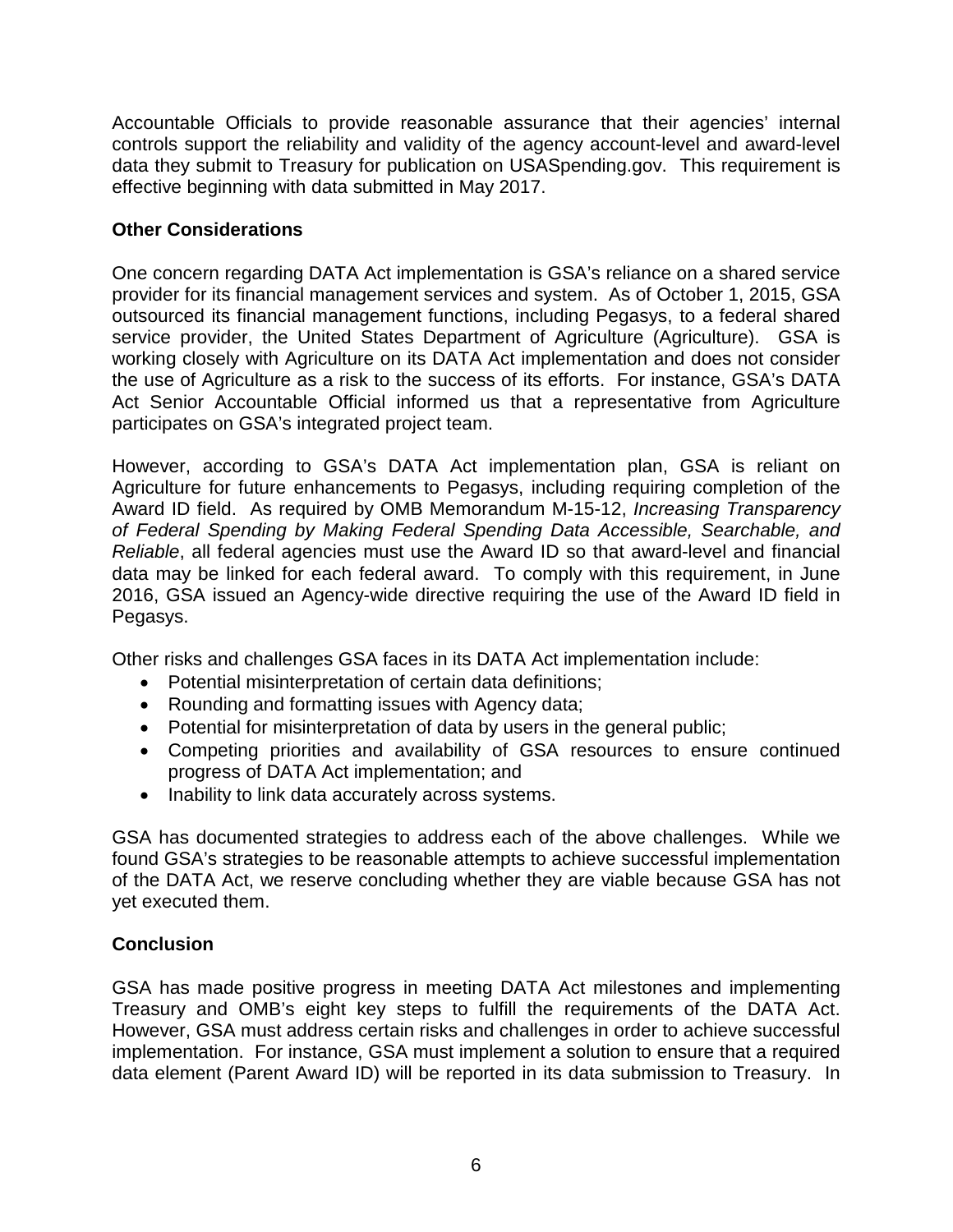Accountable Officials to provide reasonable assurance that their agencies' internal controls support the reliability and validity of the agency account-level and award-level data they submit to Treasury for publication on USASpending.gov. This requirement is effective beginning with data submitted in May 2017.

## **Other Considerations**

One concern regarding DATA Act implementation is GSA's reliance on a shared service provider for its financial management services and system. As of October 1, 2015, GSA outsourced its financial management functions, including Pegasys, to a federal shared service provider, the United States Department of Agriculture (Agriculture). GSA is working closely with Agriculture on its DATA Act implementation and does not consider the use of Agriculture as a risk to the success of its efforts. For instance, GSA's DATA Act Senior Accountable Official informed us that a representative from Agriculture participates on GSA's integrated project team.

However, according to GSA's DATA Act implementation plan, GSA is reliant on Agriculture for future enhancements to Pegasys, including requiring completion of the Award ID field. As required by OMB Memorandum M-15-12, *Increasing Transparency of Federal Spending by Making Federal Spending Data Accessible, Searchable, and Reliable*, all federal agencies must use the Award ID so that award-level and financial data may be linked for each federal award. To comply with this requirement, in June 2016, GSA issued an Agency-wide directive requiring the use of the Award ID field in Pegasys.

Other risks and challenges GSA faces in its DATA Act implementation include:

- Potential misinterpretation of certain data definitions;
- Rounding and formatting issues with Agency data;
- Potential for misinterpretation of data by users in the general public;
- Competing priorities and availability of GSA resources to ensure continued progress of DATA Act implementation; and
- Inability to link data accurately across systems.

GSA has documented strategies to address each of the above challenges. While we found GSA's strategies to be reasonable attempts to achieve successful implementation of the DATA Act, we reserve concluding whether they are viable because GSA has not yet executed them.

## **Conclusion**

GSA has made positive progress in meeting DATA Act milestones and implementing Treasury and OMB's eight key steps to fulfill the requirements of the DATA Act. However, GSA must address certain risks and challenges in order to achieve successful implementation. For instance, GSA must implement a solution to ensure that a required data element (Parent Award ID) will be reported in its data submission to Treasury. In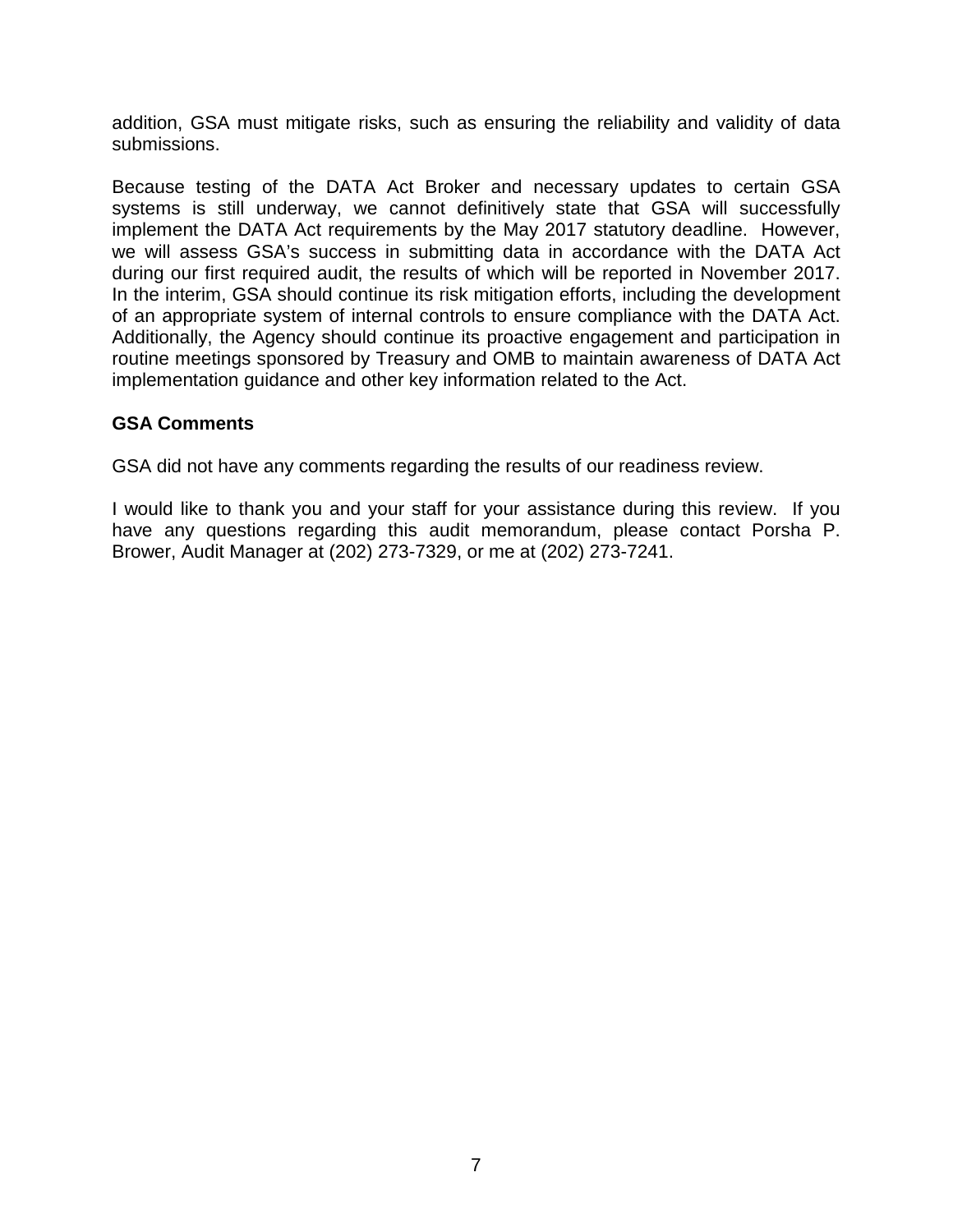addition, GSA must mitigate risks, such as ensuring the reliability and validity of data submissions.

Because testing of the DATA Act Broker and necessary updates to certain GSA systems is still underway, we cannot definitively state that GSA will successfully implement the DATA Act requirements by the May 2017 statutory deadline. However, we will assess GSA's success in submitting data in accordance with the DATA Act during our first required audit, the results of which will be reported in November 2017. In the interim, GSA should continue its risk mitigation efforts, including the development of an appropriate system of internal controls to ensure compliance with the DATA Act. Additionally, the Agency should continue its proactive engagement and participation in routine meetings sponsored by Treasury and OMB to maintain awareness of DATA Act implementation guidance and other key information related to the Act.

#### **GSA Comments**

GSA did not have any comments regarding the results of our readiness review.

I would like to thank you and your staff for your assistance during this review. If you have any questions regarding this audit memorandum, please contact Porsha P. Brower, Audit Manager at (202) 273-7329, or me at (202) 273-7241.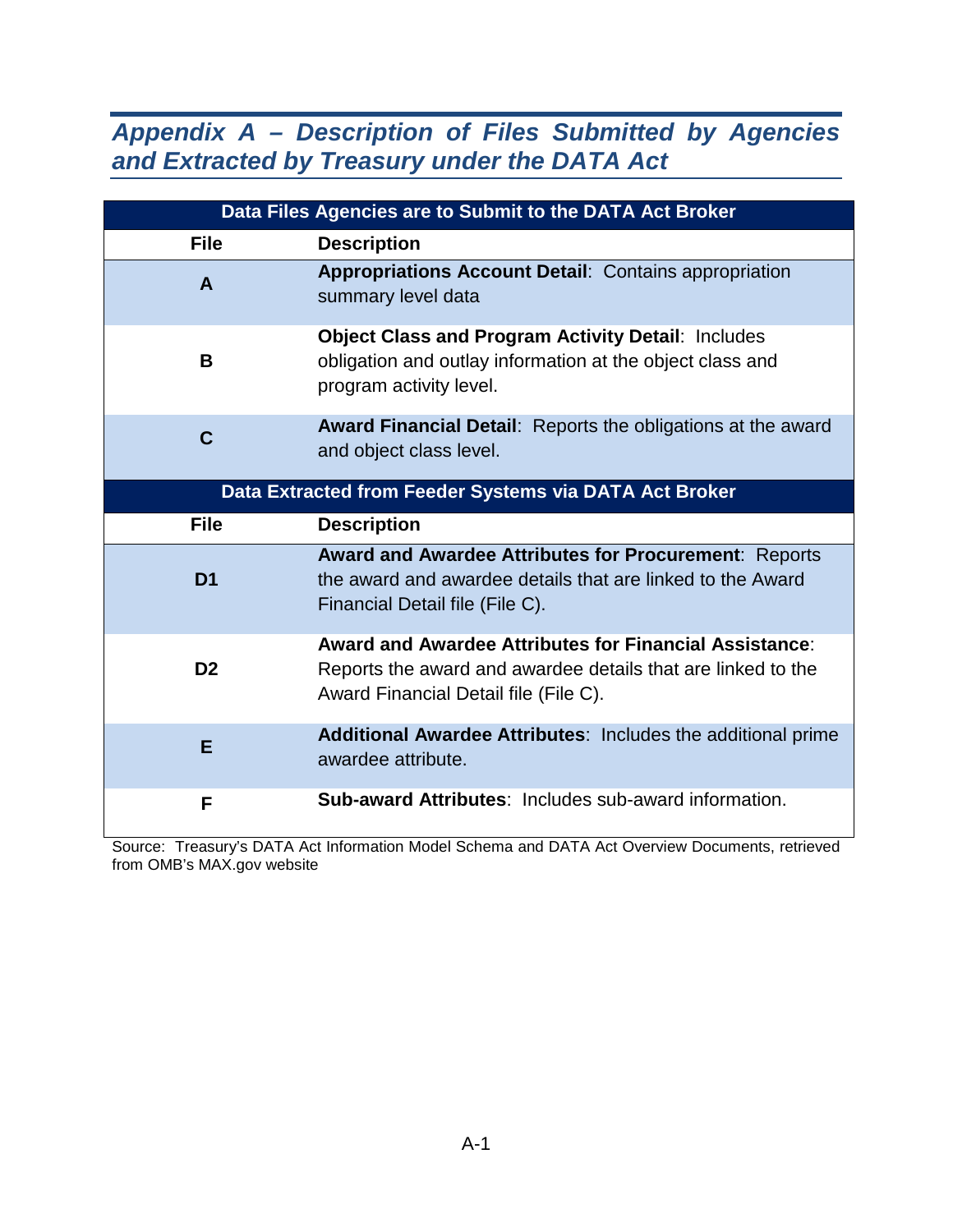## *Appendix A – Description of Files Submitted by Agencies and Extracted by Treasury under the DATA Act*

| Data Files Agencies are to Submit to the DATA Act Broker |                                                                                                                                                                        |  |  |
|----------------------------------------------------------|------------------------------------------------------------------------------------------------------------------------------------------------------------------------|--|--|
| <b>File</b>                                              | <b>Description</b>                                                                                                                                                     |  |  |
| A                                                        | <b>Appropriations Account Detail: Contains appropriation</b><br>summary level data                                                                                     |  |  |
| B                                                        | <b>Object Class and Program Activity Detail: Includes</b><br>obligation and outlay information at the object class and<br>program activity level.                      |  |  |
| $\mathbf C$                                              | <b>Award Financial Detail:</b> Reports the obligations at the award<br>and object class level.                                                                         |  |  |
| Data Extracted from Feeder Systems via DATA Act Broker   |                                                                                                                                                                        |  |  |
| <b>File</b>                                              | <b>Description</b>                                                                                                                                                     |  |  |
| D <sub>1</sub>                                           | <b>Award and Awardee Attributes for Procurement: Reports</b><br>the award and awardee details that are linked to the Award<br>Financial Detail file (File C).          |  |  |
| D <sub>2</sub>                                           | <b>Award and Awardee Attributes for Financial Assistance:</b><br>Reports the award and awardee details that are linked to the<br>Award Financial Detail file (File C). |  |  |
| E                                                        | Additional Awardee Attributes: Includes the additional prime<br>awardee attribute.                                                                                     |  |  |
| F                                                        | <b>Sub-award Attributes: Includes sub-award information.</b>                                                                                                           |  |  |

Source: Treasury's DATA Act Information Model Schema and DATA Act Overview Documents, retrieved from OMB's MAX.gov website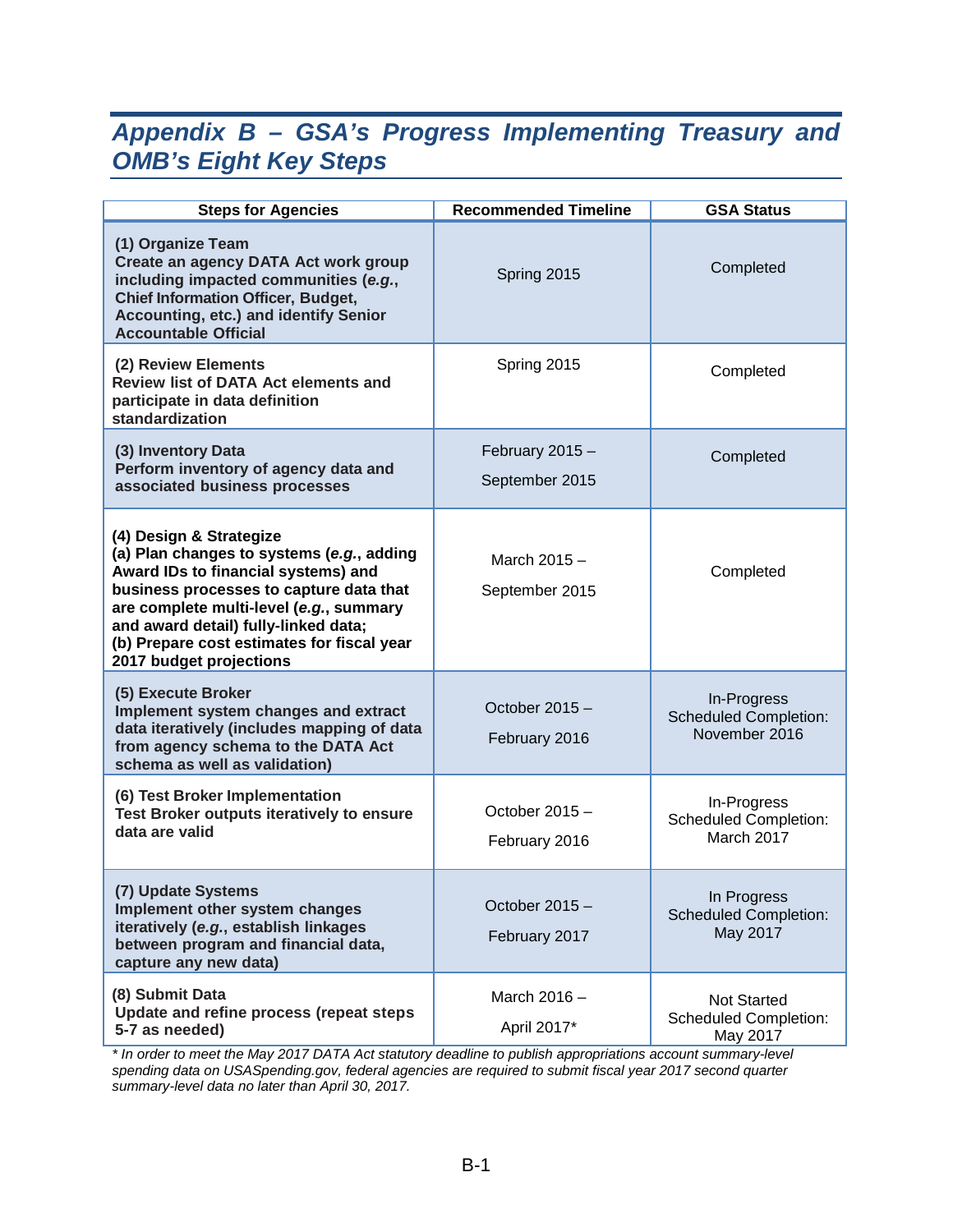## *Appendix B – GSA's Progress Implementing Treasury and OMB's Eight Key Steps*

| <b>Steps for Agencies</b>                                                                                                                                                                                                                                                                                          | <b>Recommended Timeline</b>       | <b>GSA Status</b>                                            |
|--------------------------------------------------------------------------------------------------------------------------------------------------------------------------------------------------------------------------------------------------------------------------------------------------------------------|-----------------------------------|--------------------------------------------------------------|
| (1) Organize Team<br>Create an agency DATA Act work group<br>including impacted communities (e.g.,<br><b>Chief Information Officer, Budget,</b><br>Accounting, etc.) and identify Senior<br><b>Accountable Official</b>                                                                                            | Spring 2015                       | Completed                                                    |
| (2) Review Elements<br><b>Review list of DATA Act elements and</b><br>participate in data definition<br>standardization                                                                                                                                                                                            | Spring 2015                       | Completed                                                    |
| (3) Inventory Data<br>Perform inventory of agency data and<br>associated business processes                                                                                                                                                                                                                        | February 2015 -<br>September 2015 | Completed                                                    |
| (4) Design & Strategize<br>(a) Plan changes to systems (e.g., adding<br>Award IDs to financial systems) and<br>business processes to capture data that<br>are complete multi-level (e.g., summary<br>and award detail) fully-linked data;<br>(b) Prepare cost estimates for fiscal year<br>2017 budget projections | March 2015 -<br>September 2015    | Completed                                                    |
| (5) Execute Broker<br>Implement system changes and extract<br>data iteratively (includes mapping of data<br>from agency schema to the DATA Act<br>schema as well as validation)                                                                                                                                    | October 2015 -<br>February 2016   | In-Progress<br><b>Scheduled Completion:</b><br>November 2016 |
| (6) Test Broker Implementation<br>Test Broker outputs iteratively to ensure<br>data are valid                                                                                                                                                                                                                      | October 2015 -<br>February 2016   | In-Progress<br><b>Scheduled Completion:</b><br>March 2017    |
| (7) Update Systems<br>Implement other system changes<br>iteratively (e.g., establish linkages<br>between program and financial data,<br>capture any new data)                                                                                                                                                      | October 2015 -<br>February 2017   | In Progress<br><b>Scheduled Completion:</b><br>May 2017      |
| (8) Submit Data<br>Update and refine process (repeat steps<br>5-7 as needed)                                                                                                                                                                                                                                       | March 2016 -<br>April 2017*       | Not Started<br><b>Scheduled Completion:</b><br>May 2017      |

*\* In order to meet the May 2017 DATA Act statutory deadline to publish appropriations account summary-level spending data on USASpending.gov, federal agencies are required to submit fiscal year 2017 second quarter summary-level data no later than April 30, 2017.*